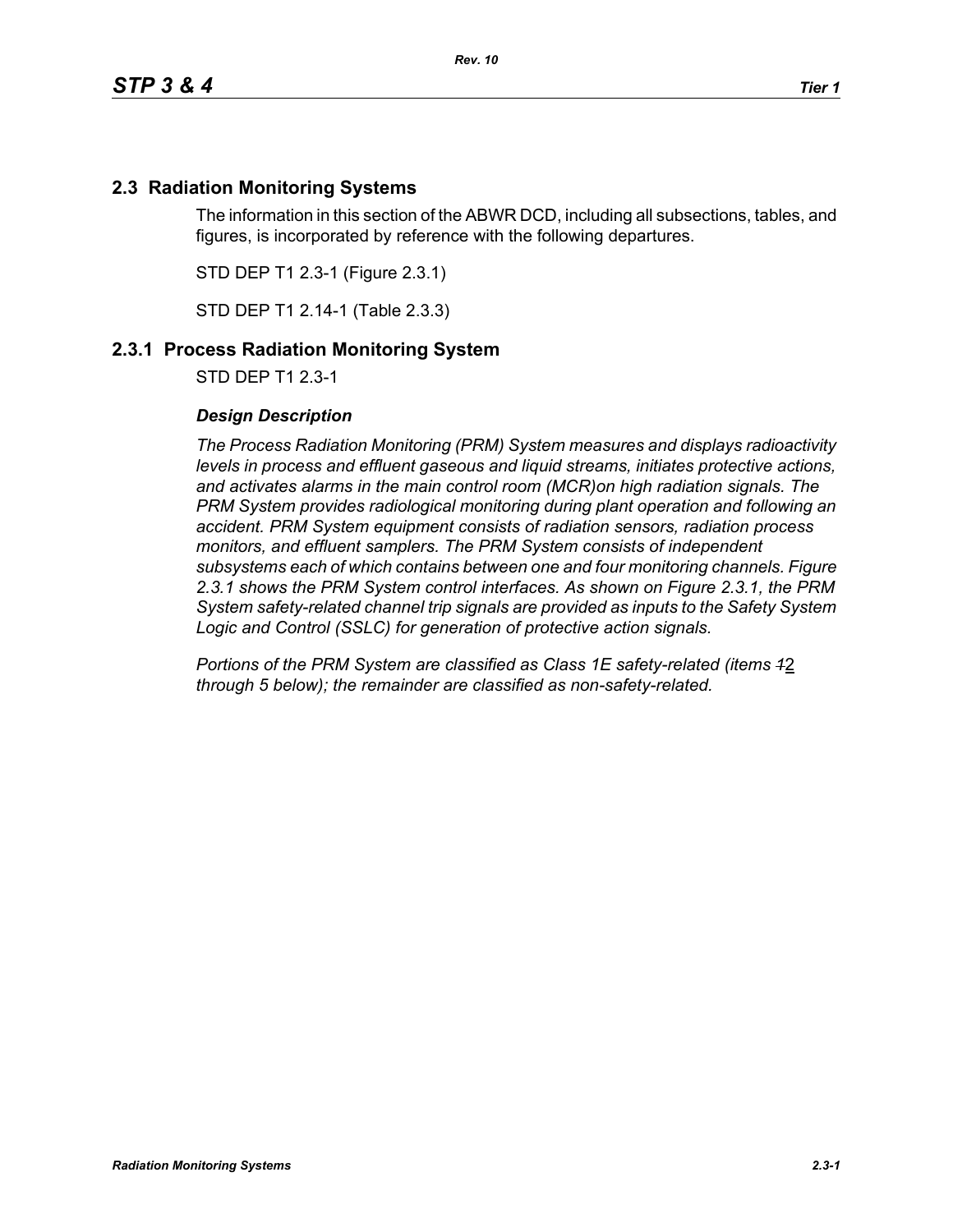# **2.3 Radiation Monitoring Systems**

The information in this section of the ABWR DCD, including all subsections, tables, and figures, is incorporated by reference with the following departures.

STD DEP T1 2.3-1 (Figure 2.3.1)

STD DEP T1 2.14-1 (Table 2.3.3)

## **2.3.1 Process Radiation Monitoring System**

STD DEP T1 2.3-1

### *Design Description*

*The Process Radiation Monitoring (PRM) System measures and displays radioactivity levels in process and effluent gaseous and liquid streams, initiates protective actions, and activates alarms in the main control room (MCR)on high radiation signals. The PRM System provides radiological monitoring during plant operation and following an accident. PRM System equipment consists of radiation sensors, radiation process monitors, and effluent samplers. The PRM System consists of independent subsystems each of which contains between one and four monitoring channels. Figure 2.3.1 shows the PRM System control interfaces. As shown on Figure 2.3.1, the PRM System safety-related channel trip signals are provided as inputs to the Safety System Logic and Control (SSLC) for generation of protective action signals.*

*Portions of the PRM System are classified as Class 1E safety-related (items 1*2 *through 5 below); the remainder are classified as non-safety-related.*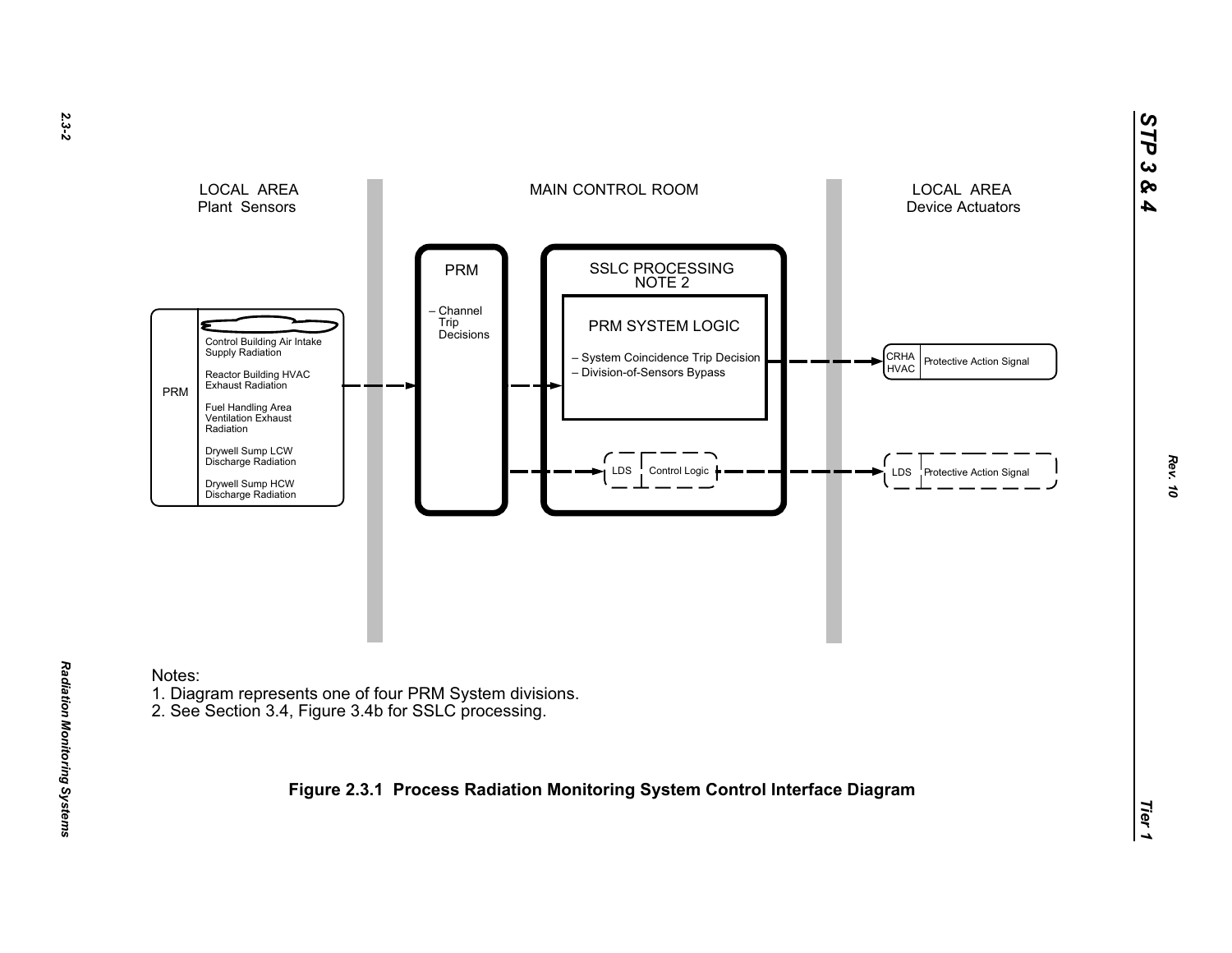



Notes:

- 1. Diagram represents one of four PRM System divisions.
- 2. See Section 3.4, Figure 3.4b for SSLC processing.

**Figure 2.3.1 Process Radiation Monitoring System Control Interface Diagram**

*STP 3 & 4*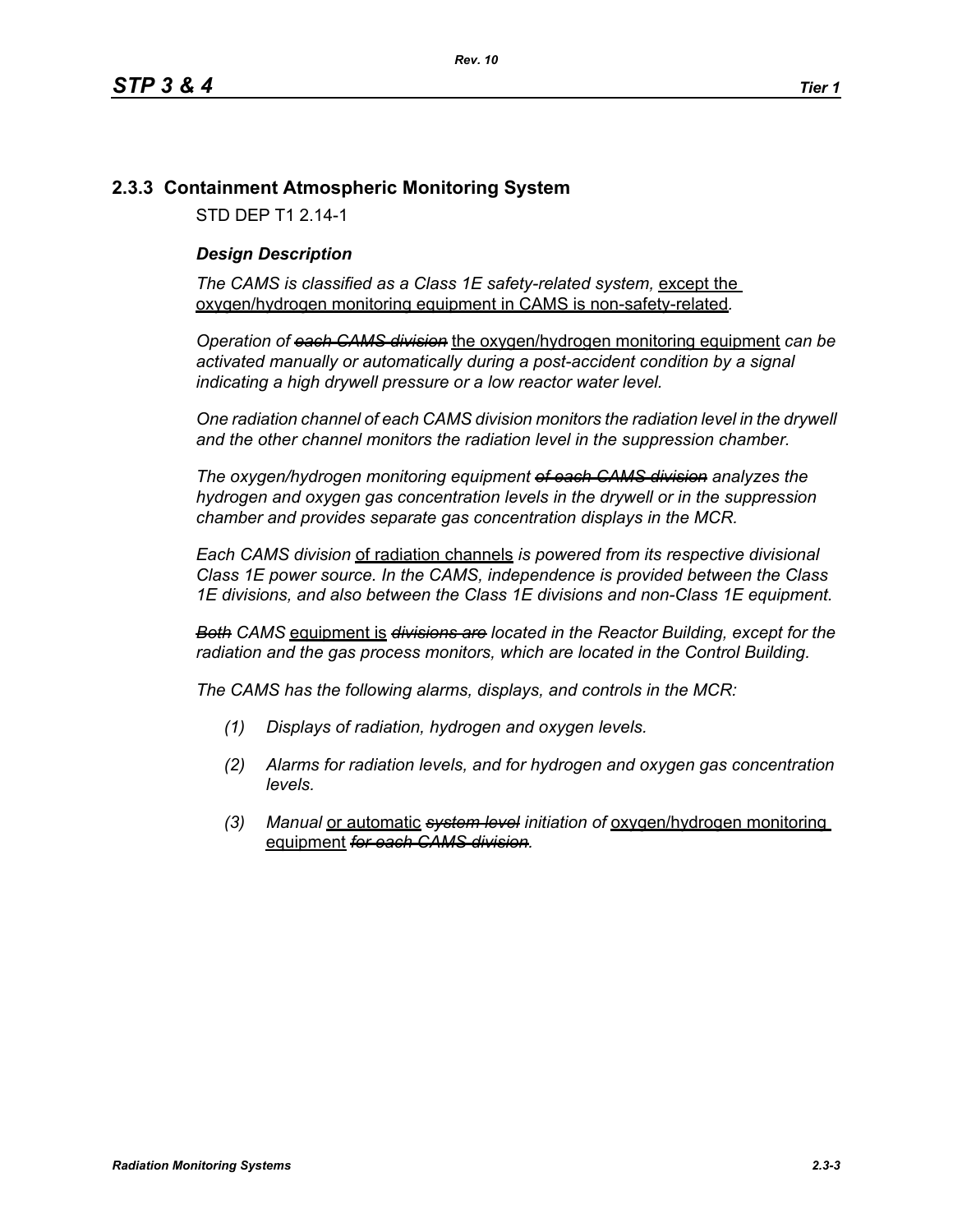## **2.3.3 Containment Atmospheric Monitoring System**

STD DEP T1 2.14-1

#### *Design Description*

The CAMS is classified as a Class 1E safety-related system, except the oxygen/hydrogen monitoring equipment in CAMS is non-safety-related*.*

*Operation of each CAMS division* the oxygen/hydrogen monitoring equipment *can be*  activated manually or automatically during a post-accident condition by a signal *indicating a high drywell pressure or a low reactor water level.* 

*One radiation channel of each CAMS division monitors the radiation level in the drywell and the other channel monitors the radiation level in the suppression chamber.*

*The oxygen/hydrogen monitoring equipment of each CAMS division analyzes the hydrogen and oxygen gas concentration levels in the drywell or in the suppression chamber and provides separate gas concentration displays in the MCR.*

*Each CAMS division* of radiation channels *is powered from its respective divisional Class 1E power source. In the CAMS, independence is provided between the Class 1E divisions, and also between the Class 1E divisions and non-Class 1E equipment.*

*Both CAMS* equipment is *divisions are located in the Reactor Building, except for the radiation and the gas process monitors, which are located in the Control Building.*

*The CAMS has the following alarms, displays, and controls in the MCR:*

- *(1) Displays of radiation, hydrogen and oxygen levels.*
- *(2) Alarms for radiation levels, and for hydrogen and oxygen gas concentration levels.*
- *(3) Manual* or automatic *system level initiation of* oxygen/hydrogen monitoring equipment *for each CAMS division.*